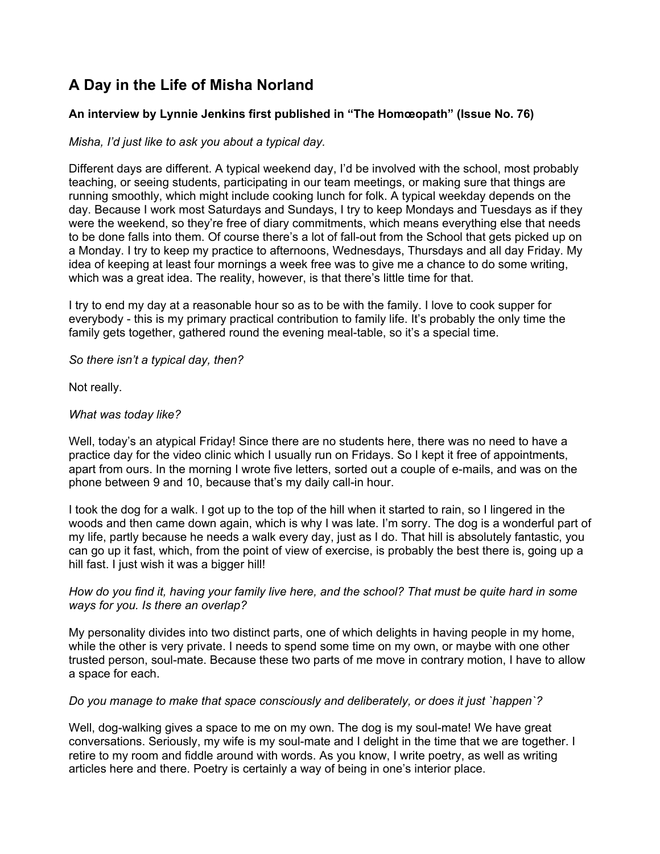# **A Day in the Life of Misha Norland**

# **An interview by Lynnie Jenkins first published in "The Homœopath" (Issue No. 76)**

*Misha, I'd just like to ask you about a typical day.*

Different days are different. A typical weekend day, I'd be involved with the school, most probably teaching, or seeing students, participating in our team meetings, or making sure that things are running smoothly, which might include cooking lunch for folk. A typical weekday depends on the day. Because I work most Saturdays and Sundays, I try to keep Mondays and Tuesdays as if they were the weekend, so they're free of diary commitments, which means everything else that needs to be done falls into them. Of course there's a lot of fall-out from the School that gets picked up on a Monday. I try to keep my practice to afternoons, Wednesdays, Thursdays and all day Friday. My idea of keeping at least four mornings a week free was to give me a chance to do some writing, which was a great idea. The reality, however, is that there's little time for that.

I try to end my day at a reasonable hour so as to be with the family. I love to cook supper for everybody - this is my primary practical contribution to family life. It's probably the only time the family gets together, gathered round the evening meal-table, so it's a special time.

*So there isn't a typical day, then?*

Not really.

### *What was today like?*

Well, today's an atypical Friday! Since there are no students here, there was no need to have a practice day for the video clinic which I usually run on Fridays. So I kept it free of appointments, apart from ours. In the morning I wrote five letters, sorted out a couple of e-mails, and was on the phone between 9 and 10, because that's my daily call-in hour.

I took the dog for a walk. I got up to the top of the hill when it started to rain, so I lingered in the woods and then came down again, which is why I was late. I'm sorry. The dog is a wonderful part of my life, partly because he needs a walk every day, just as I do. That hill is absolutely fantastic, you can go up it fast, which, from the point of view of exercise, is probably the best there is, going up a hill fast. I just wish it was a bigger hill!

### *How do you find it, having your family live here, and the school? That must be quite hard in some ways for you. Is there an overlap?*

My personality divides into two distinct parts, one of which delights in having people in my home, while the other is very private. I needs to spend some time on my own, or maybe with one other trusted person, soul-mate. Because these two parts of me move in contrary motion, I have to allow a space for each.

#### *Do you manage to make that space consciously and deliberately, or does it just `happen`?*

Well, dog-walking gives a space to me on my own. The dog is my soul-mate! We have great conversations. Seriously, my wife is my soul-mate and I delight in the time that we are together. I retire to my room and fiddle around with words. As you know, I write poetry, as well as writing articles here and there. Poetry is certainly a way of being in one's interior place.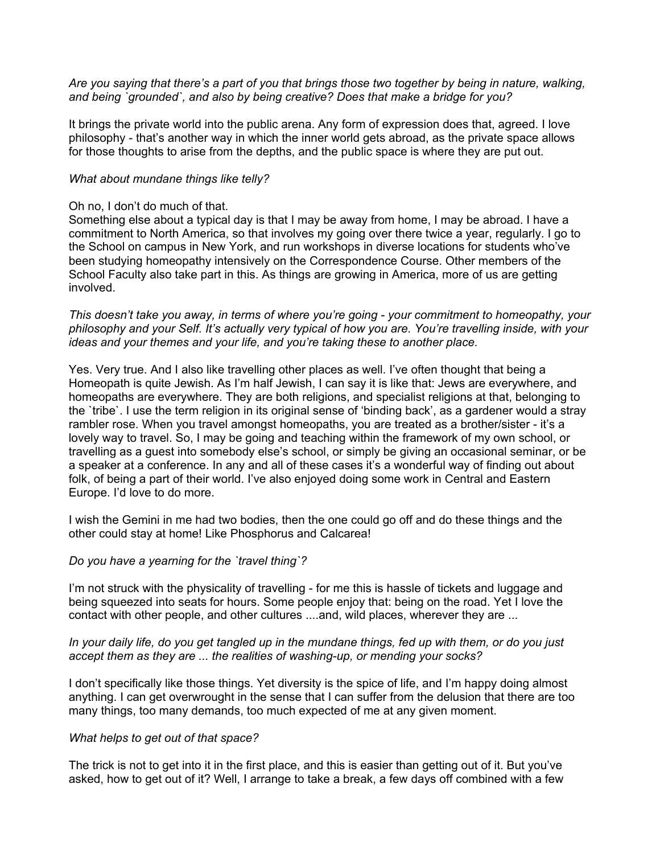*Are you saying that there's a part of you that brings those two together by being in nature, walking, and being `grounded`, and also by being creative? Does that make a bridge for you?*

It brings the private world into the public arena. Any form of expression does that, agreed. I love philosophy - that's another way in which the inner world gets abroad, as the private space allows for those thoughts to arise from the depths, and the public space is where they are put out.

#### *What about mundane things like telly?*

#### Oh no, I don't do much of that.

Something else about a typical day is that I may be away from home, I may be abroad. I have a commitment to North America, so that involves my going over there twice a year, regularly. I go to the School on campus in New York, and run workshops in diverse locations for students who've been studying homeopathy intensively on the Correspondence Course. Other members of the School Faculty also take part in this. As things are growing in America, more of us are getting involved.

*This doesn't take you away, in terms of where you're going - your commitment to homeopathy, your philosophy and your Self. It's actually very typical of how you are. You're travelling inside, with your ideas and your themes and your life, and you're taking these to another place.*

Yes. Very true. And I also like travelling other places as well. I've often thought that being a Homeopath is quite Jewish. As I'm half Jewish, I can say it is like that: Jews are everywhere, and homeopaths are everywhere. They are both religions, and specialist religions at that, belonging to the `tribe`. I use the term religion in its original sense of 'binding back', as a gardener would a stray rambler rose. When you travel amongst homeopaths, you are treated as a brother/sister - it's a lovely way to travel. So, I may be going and teaching within the framework of my own school, or travelling as a guest into somebody else's school, or simply be giving an occasional seminar, or be a speaker at a conference. In any and all of these cases it's a wonderful way of finding out about folk, of being a part of their world. I've also enjoyed doing some work in Central and Eastern Europe. I'd love to do more.

I wish the Gemini in me had two bodies, then the one could go off and do these things and the other could stay at home! Like Phosphorus and Calcarea!

#### *Do you have a yearning for the `travel thing`?*

I'm not struck with the physicality of travelling - for me this is hassle of tickets and luggage and being squeezed into seats for hours. Some people enjoy that: being on the road. Yet I love the contact with other people, and other cultures ....and, wild places, wherever they are ...

### *In your daily life, do you get tangled up in the mundane things, fed up with them, or do you just accept them as they are ... the realities of washing-up, or mending your socks?*

I don't specifically like those things. Yet diversity is the spice of life, and I'm happy doing almost anything. I can get overwrought in the sense that I can suffer from the delusion that there are too many things, too many demands, too much expected of me at any given moment.

#### *What helps to get out of that space?*

The trick is not to get into it in the first place, and this is easier than getting out of it. But you've asked, how to get out of it? Well, I arrange to take a break, a few days off combined with a few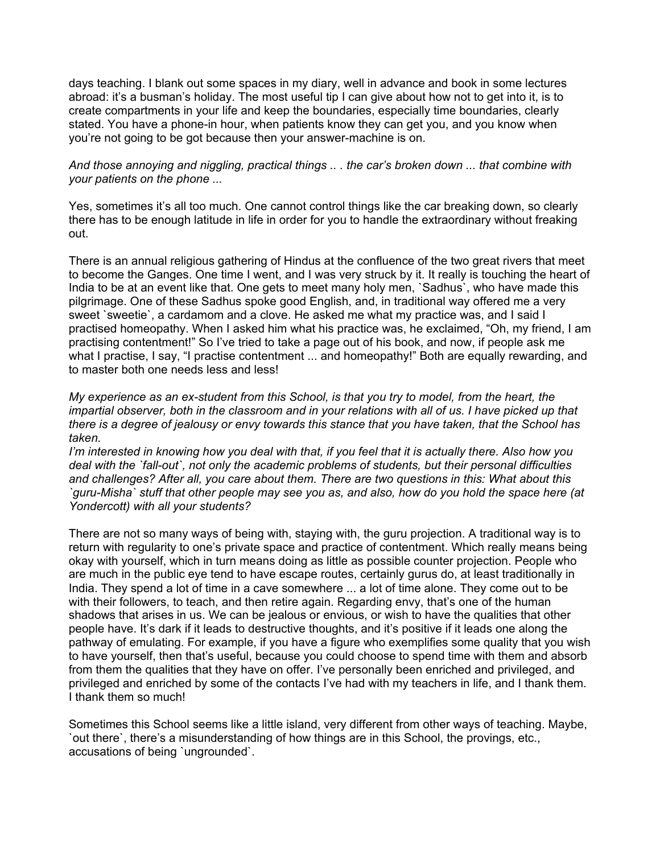days teaching. I blank out some spaces in my diary, well in advance and book in some lectures abroad: it's a busman's holiday. The most useful tip I can give about how not to get into it, is to create compartments in your life and keep the boundaries, especially time boundaries, clearly stated. You have a phone-in hour, when patients know they can get you, and you know when you're not going to be got because then your answer-machine is on.

*And those annoying and niggling, practical things .. . the car's broken down ... that combine with your patients on the phone ...*

Yes, sometimes it's all too much. One cannot control things like the car breaking down, so clearly there has to be enough latitude in life in order for you to handle the extraordinary without freaking out.

There is an annual religious gathering of Hindus at the confluence of the two great rivers that meet to become the Ganges. One time I went, and I was very struck by it. It really is touching the heart of India to be at an event like that. One gets to meet many holy men, `Sadhus`, who have made this pilgrimage. One of these Sadhus spoke good English, and, in traditional way offered me a very sweet 'sweetie', a cardamom and a clove. He asked me what my practice was, and I said I practised homeopathy. When I asked him what his practice was, he exclaimed, "Oh, my friend, I am practising contentment!" So I've tried to take a page out of his book, and now, if people ask me what I practise, I say, "I practise contentment ... and homeopathy!" Both are equally rewarding, and to master both one needs less and less!

*My experience as an ex-student from this School, is that you try to model, from the heart, the impartial observer, both in the classroom and in your relations with all of us. I have picked up that there is a degree of jealousy or envy towards this stance that you have taken, that the School has taken.*

*I'm interested in knowing how you deal with that, if you feel that it is actually there. Also how you deal with the `fall-out`, not only the academic problems of students, but their personal difficulties and challenges? After all, you care about them. There are two questions in this: What about this `guru-Misha` stuff that other people may see you as, and also, how do you hold the space here (at Yondercott) with all your students?*

There are not so many ways of being with, staying with, the guru projection. A traditional way is to return with regularity to one's private space and practice of contentment. Which really means being okay with yourself, which in turn means doing as little as possible counter projection. People who are much in the public eye tend to have escape routes, certainly gurus do, at least traditionally in India. They spend a lot of time in a cave somewhere ... a lot of time alone. They come out to be with their followers, to teach, and then retire again. Regarding envy, that's one of the human shadows that arises in us. We can be jealous or envious, or wish to have the qualities that other people have. It's dark if it leads to destructive thoughts, and it's positive if it leads one along the pathway of emulating. For example, if you have a figure who exemplifies some quality that you wish to have yourself, then that's useful, because you could choose to spend time with them and absorb from them the qualities that they have on offer. I've personally been enriched and privileged, and privileged and enriched by some of the contacts I've had with my teachers in life, and I thank them. I thank them so much!

Sometimes this School seems like a little island, very different from other ways of teaching. Maybe, `out there`, there's a misunderstanding of how things are in this School, the provings, etc., accusations of being `ungrounded`.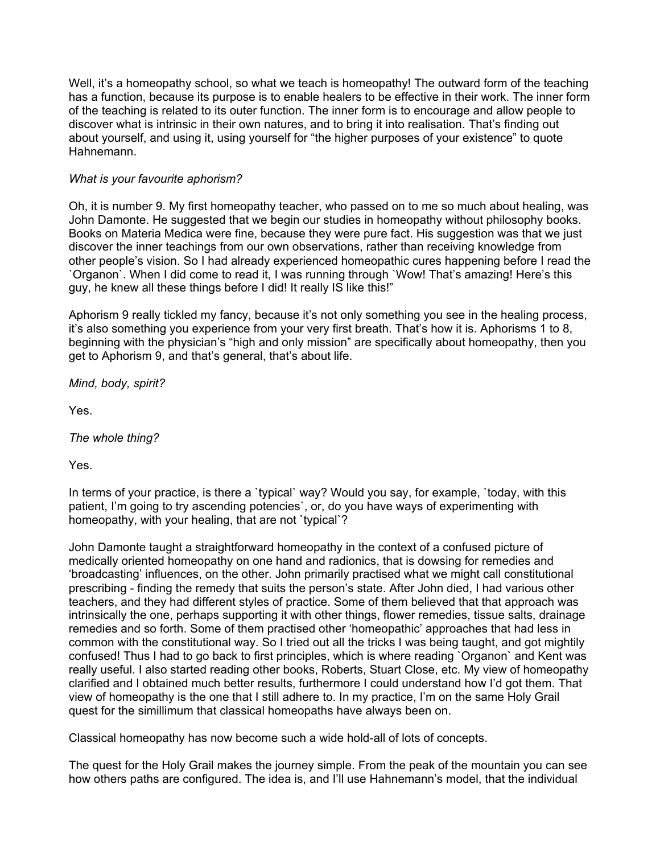Well, it's a homeopathy school, so what we teach is homeopathy! The outward form of the teaching has a function, because its purpose is to enable healers to be effective in their work. The inner form of the teaching is related to its outer function. The inner form is to encourage and allow people to discover what is intrinsic in their own natures, and to bring it into realisation. That's finding out about yourself, and using it, using yourself for "the higher purposes of your existence" to quote Hahnemann.

# *What is your favourite aphorism?*

Oh, it is number 9. My first homeopathy teacher, who passed on to me so much about healing, was John Damonte. He suggested that we begin our studies in homeopathy without philosophy books. Books on Materia Medica were fine, because they were pure fact. His suggestion was that we just discover the inner teachings from our own observations, rather than receiving knowledge from other people's vision. So I had already experienced homeopathic cures happening before I read the `Organon`. When I did come to read it, I was running through `Wow! That's amazing! Here's this guy, he knew all these things before I did! It really IS like this!"

Aphorism 9 really tickled my fancy, because it's not only something you see in the healing process, it's also something you experience from your very first breath. That's how it is. Aphorisms 1 to 8, beginning with the physician's "high and only mission" are specifically about homeopathy, then you get to Aphorism 9, and that's general, that's about life.

*Mind, body, spirit?*

Yes.

*The whole thing?*

Yes.

In terms of your practice, is there a `typical` way? Would you say, for example, `today, with this patient, I'm going to try ascending potencies`, or, do you have ways of experimenting with homeopathy, with your healing, that are not `typical`?

John Damonte taught a straightforward homeopathy in the context of a confused picture of medically oriented homeopathy on one hand and radionics, that is dowsing for remedies and 'broadcasting' influences, on the other. John primarily practised what we might call constitutional prescribing - finding the remedy that suits the person's state. After John died, I had various other teachers, and they had different styles of practice. Some of them believed that that approach was intrinsically the one, perhaps supporting it with other things, flower remedies, tissue salts, drainage remedies and so forth. Some of them practised other 'homeopathic' approaches that had less in common with the constitutional way. So I tried out all the tricks I was being taught, and got mightily confused! Thus I had to go back to first principles, which is where reading `Organon` and Kent was really useful. I also started reading other books, Roberts, Stuart Close, etc. My view of homeopathy clarified and I obtained much better results, furthermore I could understand how I'd got them. That view of homeopathy is the one that I still adhere to. In my practice, I'm on the same Holy Grail quest for the simillimum that classical homeopaths have always been on.

Classical homeopathy has now become such a wide hold-all of lots of concepts.

The quest for the Holy Grail makes the journey simple. From the peak of the mountain you can see how others paths are configured. The idea is, and I'll use Hahnemann's model, that the individual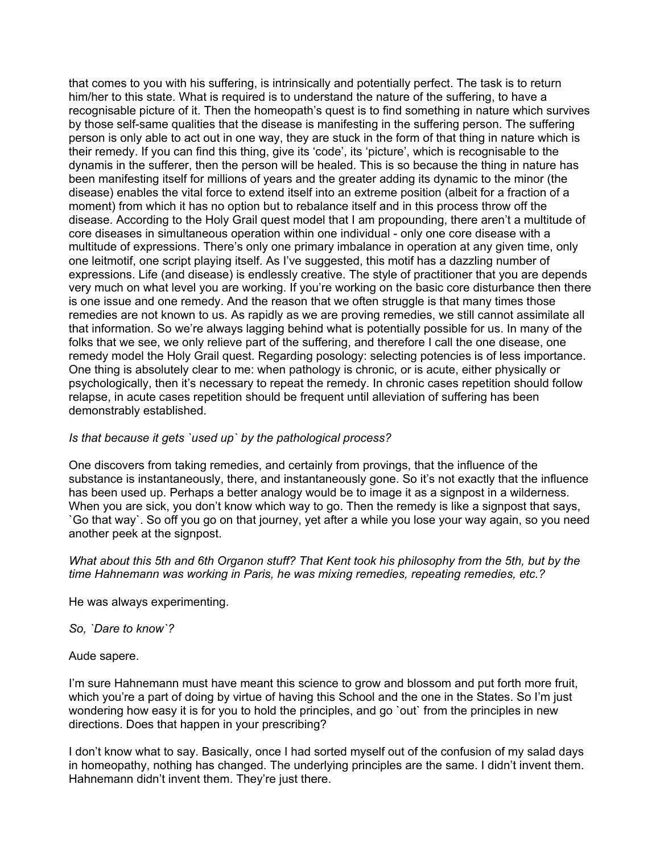that comes to you with his suffering, is intrinsically and potentially perfect. The task is to return him/her to this state. What is required is to understand the nature of the suffering, to have a recognisable picture of it. Then the homeopath's quest is to find something in nature which survives by those self-same qualities that the disease is manifesting in the suffering person. The suffering person is only able to act out in one way, they are stuck in the form of that thing in nature which is their remedy. If you can find this thing, give its 'code', its 'picture', which is recognisable to the dynamis in the sufferer, then the person will be healed. This is so because the thing in nature has been manifesting itself for millions of years and the greater adding its dynamic to the minor (the disease) enables the vital force to extend itself into an extreme position (albeit for a fraction of a moment) from which it has no option but to rebalance itself and in this process throw off the disease. According to the Holy Grail quest model that I am propounding, there aren't a multitude of core diseases in simultaneous operation within one individual - only one core disease with a multitude of expressions. There's only one primary imbalance in operation at any given time, only one leitmotif, one script playing itself. As I've suggested, this motif has a dazzling number of expressions. Life (and disease) is endlessly creative. The style of practitioner that you are depends very much on what level you are working. If you're working on the basic core disturbance then there is one issue and one remedy. And the reason that we often struggle is that many times those remedies are not known to us. As rapidly as we are proving remedies, we still cannot assimilate all that information. So we're always lagging behind what is potentially possible for us. In many of the folks that we see, we only relieve part of the suffering, and therefore I call the one disease, one remedy model the Holy Grail quest. Regarding posology: selecting potencies is of less importance. One thing is absolutely clear to me: when pathology is chronic, or is acute, either physically or psychologically, then it's necessary to repeat the remedy. In chronic cases repetition should follow relapse, in acute cases repetition should be frequent until alleviation of suffering has been demonstrably established.

## *Is that because it gets `used up` by the pathological process?*

One discovers from taking remedies, and certainly from provings, that the influence of the substance is instantaneously, there, and instantaneously gone. So it's not exactly that the influence has been used up. Perhaps a better analogy would be to image it as a signpost in a wilderness. When you are sick, you don't know which way to go. Then the remedy is like a signpost that says, `Go that way`. So off you go on that journey, yet after a while you lose your way again, so you need another peek at the signpost.

*What about this 5th and 6th Organon stuff? That Kent took his philosophy from the 5th, but by the time Hahnemann was working in Paris, he was mixing remedies, repeating remedies, etc.?*

He was always experimenting.

*So, `Dare to know`?*

#### Aude sapere.

I'm sure Hahnemann must have meant this science to grow and blossom and put forth more fruit, which you're a part of doing by virtue of having this School and the one in the States. So I'm just wondering how easy it is for you to hold the principles, and go `out` from the principles in new directions. Does that happen in your prescribing?

I don't know what to say. Basically, once I had sorted myself out of the confusion of my salad days in homeopathy, nothing has changed. The underlying principles are the same. I didn't invent them. Hahnemann didn't invent them. They're just there.